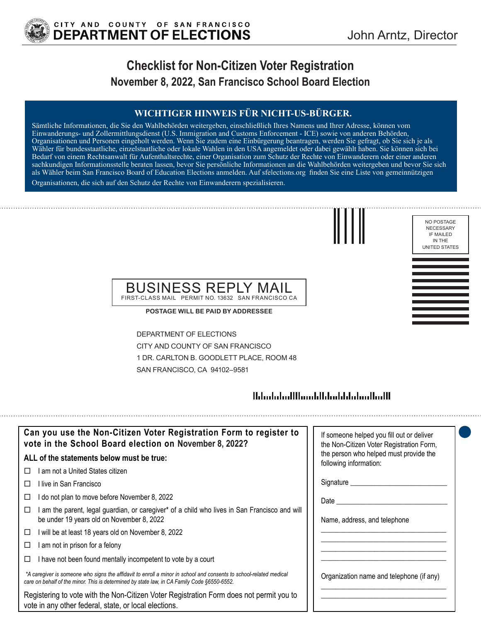

# **Checklist for Non-Citizen Voter Registration November 8, 2022, San Francisco School Board Election**

#### **WICHTIGER HINWEIS FÜR NICHT-US-BÜRGER.**

Sämtliche Informationen, die Sie den Wahlbehörden weitergeben, einschließlich Ihres Namens und Ihrer Adresse, können vom Einwanderungs- und Zollermittlungsdienst (U.S. Immigration and Customs Enforcement - ICE) sowie von anderen Behörden, Organisationen und Personen eingeholt werden. Wenn Sie zudem eine Einbürgerung beantragen, werden Sie gefragt, ob Sie sich je als Wähler für bundesstaatliche, einzelstaatliche oder lokale Wahlen in den USA angemeldet oder dabei gewählt haben. Sie können sich bei Bedarf von einem Rechtsanwalt für Aufenthaltsrechte, einer Organisation zum Schutz der Rechte von Einwanderern oder einer anderen sachkundigen Informationsstelle beraten lassen, bevor Sie persönliche Informationen an die Wahlbehörden weitergeben und bevor Sie sich als Wähler beim San Francisco Board of Education Elections anmelden. Auf sfelections.org finden Sie eine Liste von gemeinnützigen Organisationen, die sich auf den Schutz der Rechte von Einwanderern spezialisieren.





#### BUSINESS REPLY FIRST-CLASS MAIL PERMIT NO. 13632 SAN FRANCISCO CA

**POSTAGE WILL BE PAID BY ADDRESSEE**

DEPARTMENT OF ELECTIONS CITY AND COUNTY OF SAN FRANCISCO 1 DR. CARLTON B. GOODLETT PLACE, ROOM 48 SAN FRANCISCO, CA 94102–9581

## 

| Can you use the Non-Citizen Voter Registration Form to register to<br>vote in the School Board election on November 8, 2022?                                                                                      | If someone helped you fill out or deliver<br>the Non-Citizen Voter Registration Form, |
|-------------------------------------------------------------------------------------------------------------------------------------------------------------------------------------------------------------------|---------------------------------------------------------------------------------------|
| ALL of the statements below must be true:                                                                                                                                                                         | the person who helped must provide the<br>following information:                      |
| I am not a United States citizen<br>$\perp$                                                                                                                                                                       |                                                                                       |
| I live in San Francisco                                                                                                                                                                                           | Signature                                                                             |
| I do not plan to move before November 8, 2022<br>ப                                                                                                                                                                | Date                                                                                  |
| am the parent, legal guardian, or caregiver* of a child who lives in San Francisco and will<br>□<br>be under 19 years old on November 8, 2022                                                                     | Name, address, and telephone                                                          |
| I will be at least 18 years old on November 8, 2022<br>⊔                                                                                                                                                          |                                                                                       |
| am not in prison for a felony<br>□                                                                                                                                                                                |                                                                                       |
| I have not been found mentally incompetent to vote by a court                                                                                                                                                     |                                                                                       |
| *A caregiver is someone who signs the affidavit to enroll a minor in school and consents to school-related medical<br>care on behalf of the minor. This is determined by state law, in CA Family Code §6550-6552. | Organization name and telephone (if any)                                              |
| Registering to vote with the Non-Citizen Voter Registration Form does not permit you to<br>vote in any other federal, state, or local elections.                                                                  |                                                                                       |